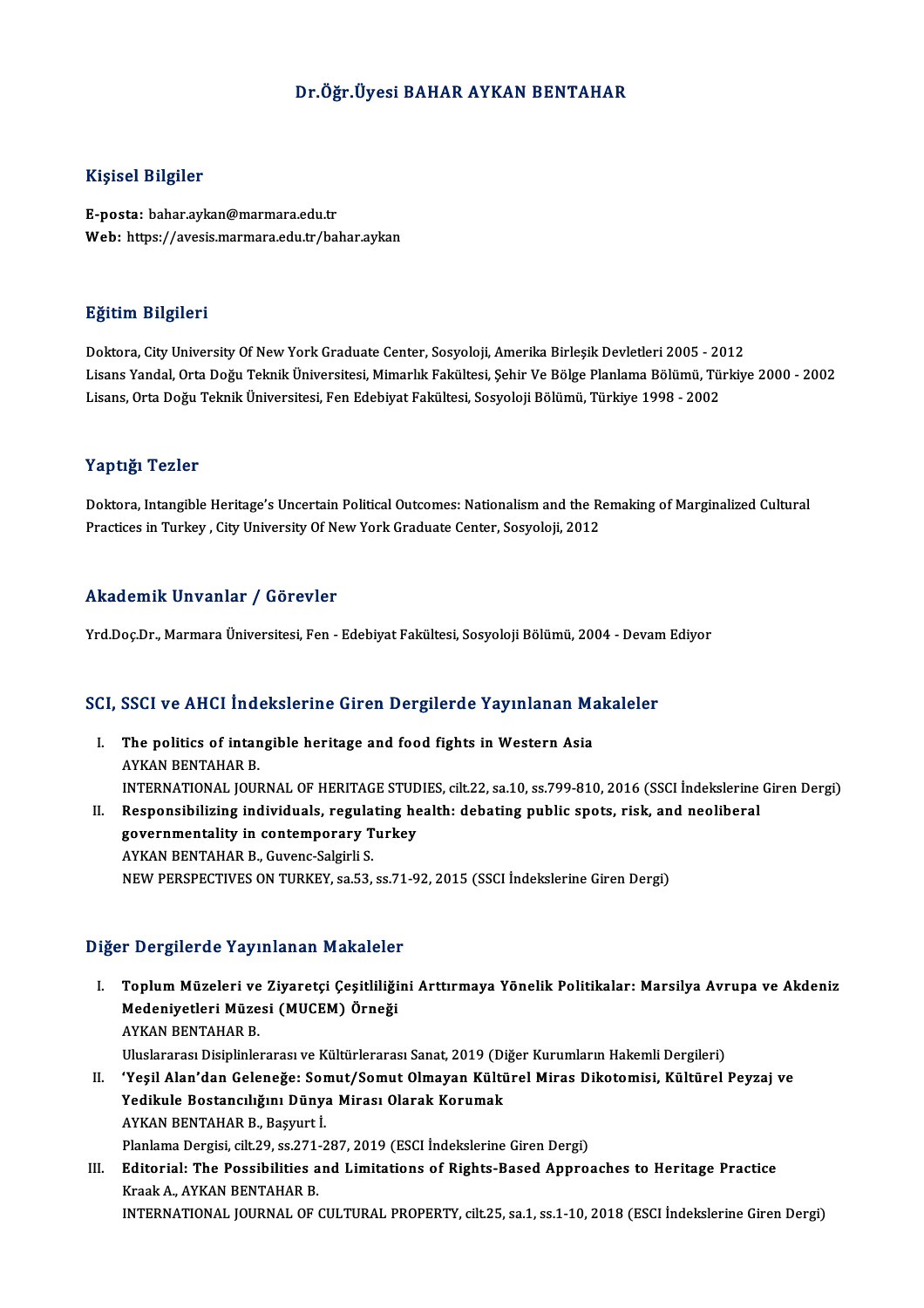#### Dr.Öğr.Üyesi BAHAR AYKAN BENTAHAR

#### Kişisel Bilgiler

E-posta: bahar.aykan@marmara.edu.tr Web: https://avesis.marmara.edu.tr/bahar.aykan

#### Eğitim Bilgileri

Doktora, City University Of New York Graduate Center, Sosyoloji, Amerika Birleşik Devletleri 2005 - 2012 Lisans Yandal, Orta Doğu Teknik Üniversitesi, Mimarlık Fakültesi, Şehir Ve Bölge Planlama Bölümü, Türkiye 2000 - 2002 Lisans,OrtaDoğuTeknikÜniversitesi,FenEdebiyatFakültesi,SosyolojiBölümü,Türkiye 1998 -2002

#### Yaptığı Tezler

Doktora, Intangible Heritage's Uncertain Political Outcomes: Nationalism and the Remaking of Marginalized Cultural Practices in Turkey, City University Of New York Graduate Center, Sosyoloji, 2012

#### Akademik Unvanlar / Görevler

Yrd.Doç.Dr., Marmara Üniversitesi, Fen - Edebiyat Fakültesi, Sosyoloji Bölümü, 2004 - Devam Ediyor

# rra.boç.br., marmara oniversitesi, ren - Edebiyat Fakultesi, Sosyoloji Bolumu, 2004 - Devan<br>SCI, SSCI ve AHCI İndekslerine Giren Dergilerde Yayınlanan Makaleler

- CI, SSCI ve AHCI Indekslerine Giren Dergilerde Yayınlanan Ma<br>I. The politics of intangible heritage and food fights in Western Asia<br>AVKAN PENTAHAP P I. The politics of intangible heritage and food fights in Western Asia<br>AYKAN BENTAHAR B. The politics of intangible heritage and food fights in Western Asia<br>AYKAN BENTAHAR B.<br>INTERNATIONAL JOURNAL OF HERITAGE STUDIES, cilt.22, sa.10, ss.799-810, 2016 (SSCI İndekslerine Giren Dergi)<br>Bespensibilising individuale AYKAN BENTAHAR B.<br>INTERNATIONAL JOURNAL OF HERITAGE STUDIES, cilt.22, sa.10, ss.799-810, 2016 (SSCI İndekslerine<br>II. Responsibilizing individuals, regulating health: debating public spots, risk, and neoliberal<br>Sovernmental INTERNATIONAL JOURNAL OF HERITAGE STUD<br>Responsibilizing individuals, regulating he<br>governmentality in contemporary Turkey<br>AVKAN BENTAHAR B. Guyang Solsinii S
- II. Responsibilizing individuals, regulating health: debating public spots, risk, and neoliberal governmentality in contemporary Turkey<br>AYKAN BENTAHAR B., Guvenc-Salgirli S. NEWPERSPECTIVESONTURKEY, sa.53, ss.71-92,2015 (SSCI İndekslerineGirenDergi)

#### Diğer Dergilerde Yayınlanan Makaleler

- I. Toplum Müzeleri ve Ziyaretçi Çeşitliliğini Arttırmaya Yönelik Politikalar: Marsilya Avrupa ve Akdeniz r Dörgiforde raj inlandik mahalolor<br>Toplum Müzeleri ve Ziyaretçi Çeşitliliği<br>Medeniyetleri Müzesi (MUCEM) Örneği Toplum Müzeleri ve<br>Medeniyetleri Müze<br>AYKAN BENTAHAR B.<br>Uluslararası Disiplinle AYKAN BENTAHAR B.<br>Uluslararası Disiplinlerarası ve Kültürlerarası Sanat, 2019 (Diğer Kurumların Hakemli Dergileri) AYKAN BENTAHAR B.<br>I . 'Yeşil Alan'dan Geleneğe: Somut/Somut Olmayan Kültürel Miras Dikotomisi, Kültürel Peyzaj ve<br>Yeşil Alan'dan Geleneğe: Somut/Somut Olmayan Kültürel Miras Dikotomisi, Kültürel Peyzaj ve<br>Yedilyula Bostans Uluslararası Disiplinlerarası ve Kültürlerarası Sanat, 2019 (Di<br>'Yeşil Alan'dan Geleneğe: Somut/Somut Olmayan Kültü<br>Yedikule Bostancılığını Dünya Mirası Olarak Korumak<br>AYKAN RENTAHAR B. Bosuutti
- Yedikule Bostancılığını Dünya Mirası Olarak Korumak<br>AYKAN BENTAHAR B., Başyurt İ. Yedikule Bostancılığını Dünya Mirası Olarak Korumak<br>AYKAN BENTAHAR B., Başyurt İ.<br>Planlama Dergisi, cilt.29, ss.271-287, 2019 (ESCI İndekslerine Giren Dergi)<br>Editorial: The Pessibilities and Limitations of Bishts Based Ann
- III. Editorial: The Possibilities and Limitations of Rights-Based Approaches to Heritage Practice<br>Kraak A., AYKAN BENTAHAR B. Planlama Dergisi, cilt.29, ss.271-<br><mark>Editorial: The Possibilities a</mark><br>Kraak A., AYKAN BENTAHAR B.<br>INTERNATIONAL JOURNAL OF 4 INTERNATIONAL JOURNALOF CULTURAL PROPERTY, cilt.25, sa.1, ss.1-10,2018 (ESCI İndekslerineGirenDergi)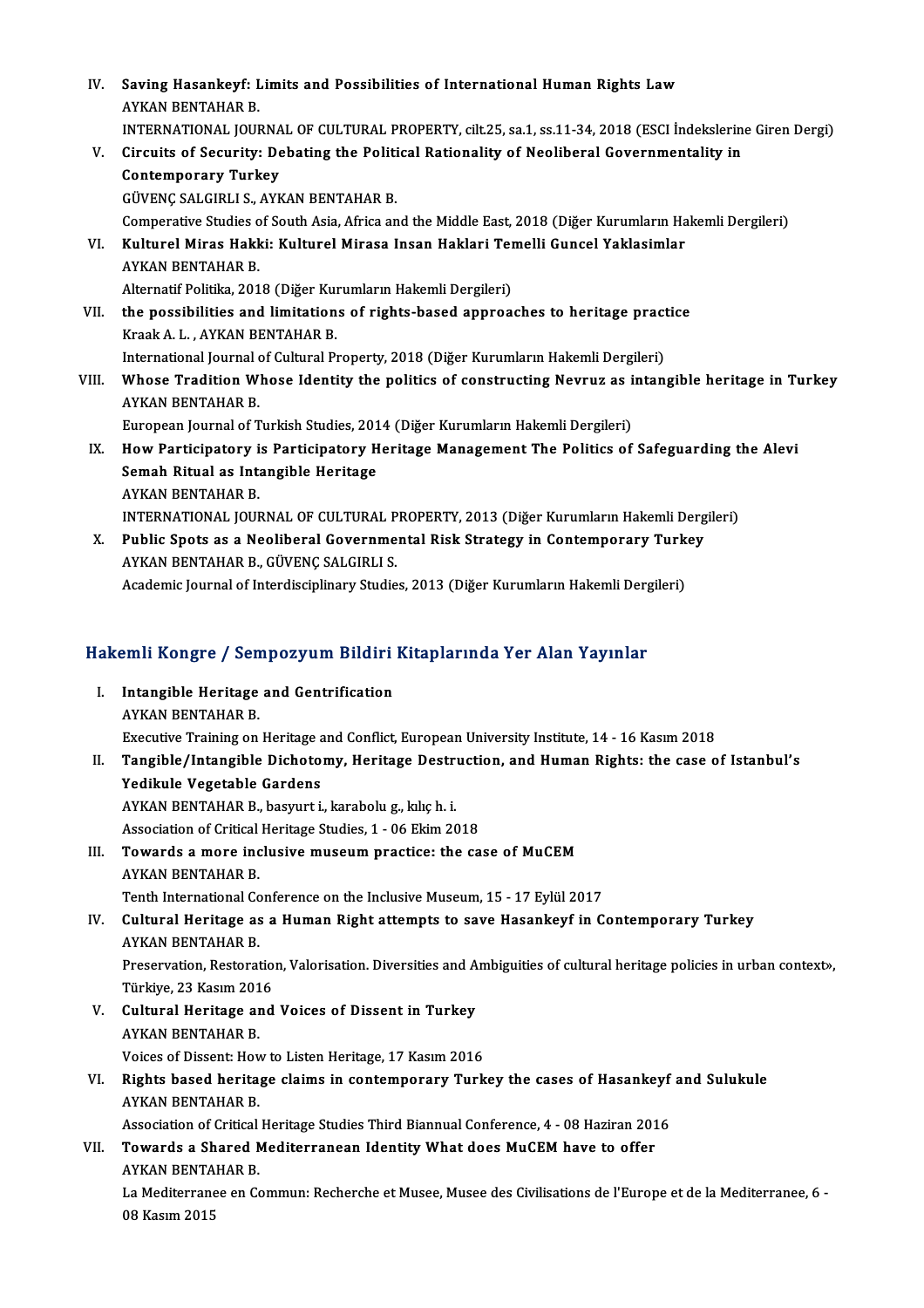| IV.   | Saving Hasankeyf: Limits and Possibilities of International Human Rights Law<br><b>AYKAN BENTAHAR B.</b><br>INTERNATIONAL JOURNAL OF CULTURAL PROPERTY, cilt.25, sa.1, ss.11-34, 2018 (ESCI Indekslerine Giren Dergi) |
|-------|-----------------------------------------------------------------------------------------------------------------------------------------------------------------------------------------------------------------------|
| V.    | Circuits of Security: Debating the Political Rationality of Neoliberal Governmentality in                                                                                                                             |
|       | <b>Contemporary Turkey</b>                                                                                                                                                                                            |
|       | GÜVENÇ SALGIRLI S., AYKAN BENTAHAR B.                                                                                                                                                                                 |
|       | Comperative Studies of South Asia, Africa and the Middle East, 2018 (Diğer Kurumların Hakemli Dergileri)                                                                                                              |
| VI.   | Kulturel Miras Hakki: Kulturel Mirasa Insan Haklari Temelli Guncel Yaklasimlar                                                                                                                                        |
|       | <b>AYKAN BENTAHAR B.</b>                                                                                                                                                                                              |
|       | Alternatif Politika, 2018 (Diğer Kurumların Hakemli Dergileri)                                                                                                                                                        |
| VII.  | the possibilities and limitations of rights-based approaches to heritage practice                                                                                                                                     |
|       | Kraak A. L., AYKAN BENTAHAR B.                                                                                                                                                                                        |
|       | International Journal of Cultural Property, 2018 (Diğer Kurumların Hakemli Dergileri)                                                                                                                                 |
| VIII. | Whose Tradition Whose Identity the politics of constructing Nevruz as intangible heritage in Turkey<br>AYKAN BENTAHAR B                                                                                               |
|       | European Journal of Turkish Studies, 2014 (Diğer Kurumların Hakemli Dergileri)                                                                                                                                        |
| IX.   | How Participatory is Participatory Heritage Management The Politics of Safeguarding the Alevi                                                                                                                         |
|       | Semah Ritual as Intangible Heritage                                                                                                                                                                                   |
|       | <b>AYKAN BENTAHAR B.</b>                                                                                                                                                                                              |
|       | INTERNATIONAL JOURNAL OF CULTURAL PROPERTY, 2013 (Diğer Kurumların Hakemli Dergileri)                                                                                                                                 |
| X.    | Public Spots as a Neoliberal Governmental Risk Strategy in Contemporary Turkey                                                                                                                                        |
|       | AYKAN BENTAHAR B., GÜVENÇ SALGIRLI S.                                                                                                                                                                                 |
|       | Academic Journal of Interdisciplinary Studies, 2013 (Diğer Kurumların Hakemli Dergileri)                                                                                                                              |
|       |                                                                                                                                                                                                                       |

# Academic journal ol interdisciplinary studies, 2013 (Diger Kurumların Hakemli Derg<br>Hakemli Kongre / Sempozyum Bildiri Kitaplarında Yer Alan Yayınlar

akemli Kongre / Sempozyum Bildiri<br>I. Intangible Heritage and Gentrification I. Intangible Heritage and Gentrification<br>AYKAN BENTAHAR B. Intangible Heritage and Gentrification<br>AYKAN BENTAHAR B.<br>Executive Training on Heritage and Conflict, European University Institute, 14 - 16 Kasım 2018<br>Tengible (Intengible Disbetomy, Heritage Destruction, and Human Bisbts II. Tangible/Intangible Dichotomy, Heritage Destruction, and Human Rights: the case of Istanbul's Yedikule Vegetable Gardens Executive Training on Heritage<br>Tangible/Intangible Dichoto<br>Yedikule Vegetable Gardens<br>AVKAN BENTAHAR B. begynnt i

Tangible/Intangible Dichotomy, Heritage Destri<br>Yedikule Vegetable Gardens<br>AYKAN BENTAHAR B., basyurt i., karabolu g., kılıç h. i.<br>Assesiation of Critical Heritage Studies 1, 06 Elsim 20 Yedikule Vegetable Gardens<br>AYKAN BENTAHAR B., basyurt i., karabolu g., kılıç h. i.<br>Association of Critical Heritage Studies, 1 - 06 Ekim 2018<br>Towarde a mare inglusive museum prestise: the sa AYKAN BENTAHAR B., basyurt i., karabolu g., kılıç h. i.<br>Association of Critical Heritage Studies, 1 - 06 Ekim 2018<br>III. Towards a more inclusive museum practice: the case of MuCEM

Association of Critical<br>**Towards a more inc<br>AYKAN BENTAHAR B.**<br>Tonth International Co Towards a more inclusive museum practice: the case of MuCEM<br>AYKAN BENTAHAR B.<br>Tenth International Conference on the Inclusive Museum, 15 - 17 Eylül 2017<br>Cultural Heritage as a Human Bight attempts to save Hasankeyf in C

Tenth International Conference on the Inclusive Museum, 15 - 17 Eylül 2017

## AYKAN BENTAHAR B.<br>Tenth International Conference on the Inclusive Museum, 15 - 17 Eylül 2017<br>IV. Cultural Heritage as a Human Right attempts to save Hasankeyf in Contemporary Turkey<br>AYKAN BENTAHAR B. Cultural Heritage as a Human Right attempts to save Hasankeyf in Contemporary Turkey<br>AYKAN BENTAHAR B.<br>Preservation, Restoration, Valorisation. Diversities and Ambiguities of cultural heritage policies in urban context»,<br>T

AYKAN BENTAHAR B.<br>Preservation, Restoratio:<br>Türkiye, 23 Kasım 2016<br>Cultural Haritage and Preservation, Restoration, Valorisation. Diversities and A<br>Türkiye, 23 Kasım 2016<br>V. Cultural Heritage and Voices of Dissent in Turkey<br>AVKAN BENTAHAR R

- Türkiye, 23 Kasım 201<br><mark>Cultural Heritage ar</mark><br>AYKAN BENTAHAR B.<br>Veises of Dissent: Hey Cultural Heritage and Voices of Dissent in Turkey<br>AYKAN BENTAHAR B.<br>Voices of Dissent: How to Listen Heritage, 17 Kasım 2016<br>Bights based beritage slaims in sentemperary Turk
- AYKAN BENTAHAR B.<br>Voices of Dissent: How to Listen Heritage, 17 Kasım 2016<br>VI. Rights based heritage claims in contemporary Turkey the cases of Hasankeyf and Sulukule<br>AVKAN BENTAHAR B Voices of Dissent: How to Listen Heritage, 17 Kasım 2016<br>Rights based heritage claims in contemporary Turkey the cases of Hasankeyf<br>AYKAN BENTAHAR B.<br>Association of Critical Heritage Studies Third Biannual Conference, 4 - Rights based heritage claims in contemporary Turkey the cases of Hasankeyf<br>AYKAN BENTAHAR B.<br>Association of Critical Heritage Studies Third Biannual Conference, 4 - 08 Haziran 2016<br>Towards a Shaned Mediterraneon Identity W

### AYKAN BENTAHAR B.<br>Association of Critical Heritage Studies Third Biannual Conference, 4 - 08 Haziran 201<br>VII. Towards a Shared Mediterranean Identity What does MuCEM have to offer<br>AVKAN PENTAHAR P Association of Critical<br>**Towards a Shared M<br>AYKAN BENTAHAR B.**<br>La Maditarrance en G Towards a Shared Mediterranean Identity What does MuCEM have to offer<br>AYKAN BENTAHAR B.<br>La Mediterranee en Commun: Recherche et Musee, Musee des Civilisations de l'Europe et de la Mediterranee, 6 -<br>08 Kesum 2015

AYKAN BENTA<br>La Mediterrane<br>08 Kasım 2015